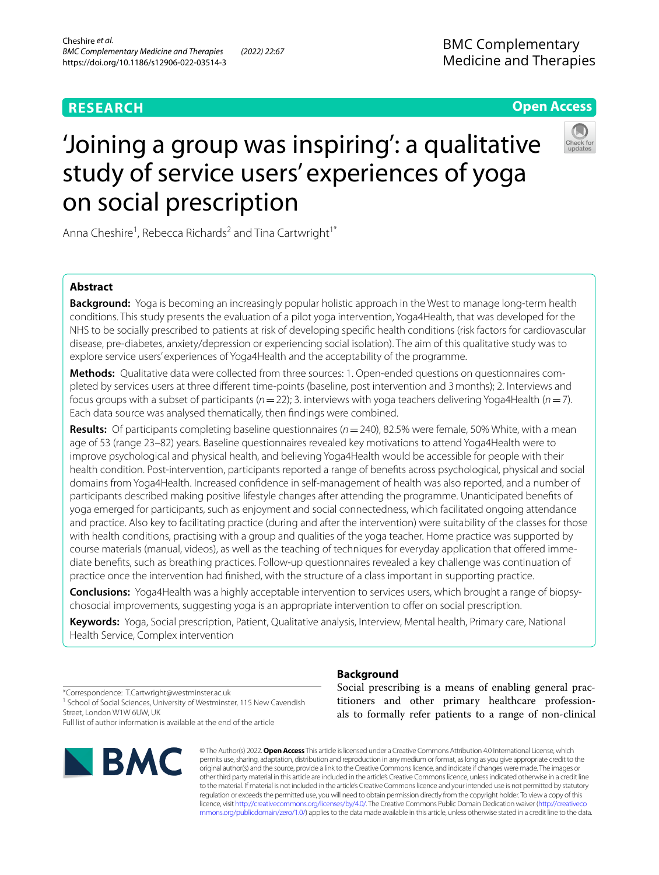# **RESEARCH**

# **Open Access**



# 'Joining a group was inspiring': a qualitative study of service users' experiences of yoga on social prescription

Anna Cheshire<sup>1</sup>, Rebecca Richards<sup>2</sup> and Tina Cartwright<sup>1\*</sup>

# **Abstract**

**Background:** Yoga is becoming an increasingly popular holistic approach in the West to manage long-term health conditions. This study presents the evaluation of a pilot yoga intervention, Yoga4Health, that was developed for the NHS to be socially prescribed to patients at risk of developing specifc health conditions (risk factors for cardiovascular disease, pre-diabetes, anxiety/depression or experiencing social isolation). The aim of this qualitative study was to explore service users' experiences of Yoga4Health and the acceptability of the programme.

**Methods:** Qualitative data were collected from three sources: 1. Open-ended questions on questionnaires completed by services users at three diferent time-points (baseline, post intervention and 3months); 2. Interviews and focus groups with a subset of participants (*n*=22); 3. interviews with yoga teachers delivering Yoga4Health (*n*=7). Each data source was analysed thematically, then fndings were combined.

**Results:** Of participants completing baseline questionnaires (*n*=240), 82.5% were female, 50% White, with a mean age of 53 (range 23–82) years. Baseline questionnaires revealed key motivations to attend Yoga4Health were to improve psychological and physical health, and believing Yoga4Health would be accessible for people with their health condition. Post-intervention, participants reported a range of benefts across psychological, physical and social domains from Yoga4Health. Increased confdence in self-management of health was also reported, and a number of participants described making positive lifestyle changes after attending the programme. Unanticipated benefts of yoga emerged for participants, such as enjoyment and social connectedness, which facilitated ongoing attendance and practice. Also key to facilitating practice (during and after the intervention) were suitability of the classes for those with health conditions, practising with a group and qualities of the yoga teacher. Home practice was supported by course materials (manual, videos), as well as the teaching of techniques for everyday application that ofered immediate benefts, such as breathing practices. Follow-up questionnaires revealed a key challenge was continuation of practice once the intervention had fnished, with the structure of a class important in supporting practice.

**Conclusions:** Yoga4Health was a highly acceptable intervention to services users, which brought a range of biopsychosocial improvements, suggesting yoga is an appropriate intervention to ofer on social prescription.

**Keywords:** Yoga, Social prescription, Patient, Qualitative analysis, Interview, Mental health, Primary care, National Health Service, Complex intervention

\*Correspondence: T.Cartwright@westminster.ac.uk <sup>1</sup> School of Social Sciences, University of Westminster, 115 New Cavendish Street, London W1W 6UW, UK Full list of author information is available at the end of the article

**BMC** 

# **Background**

Social prescribing is a means of enabling general practitioners and other primary healthcare professionals to formally refer patients to a range of non-clinical

© The Author(s) 2022. **Open Access** This article is licensed under a Creative Commons Attribution 4.0 International License, which permits use, sharing, adaptation, distribution and reproduction in any medium or format, as long as you give appropriate credit to the original author(s) and the source, provide a link to the Creative Commons licence, and indicate if changes were made. The images or other third party material in this article are included in the article's Creative Commons licence, unless indicated otherwise in a credit line to the material. If material is not included in the article's Creative Commons licence and your intended use is not permitted by statutory regulation or exceeds the permitted use, you will need to obtain permission directly from the copyright holder. To view a copy of this licence, visit [http://creativecommons.org/licenses/by/4.0/.](http://creativecommons.org/licenses/by/4.0/) The Creative Commons Public Domain Dedication waiver ([http://creativeco](http://creativecommons.org/publicdomain/zero/1.0/) [mmons.org/publicdomain/zero/1.0/](http://creativecommons.org/publicdomain/zero/1.0/)) applies to the data made available in this article, unless otherwise stated in a credit line to the data.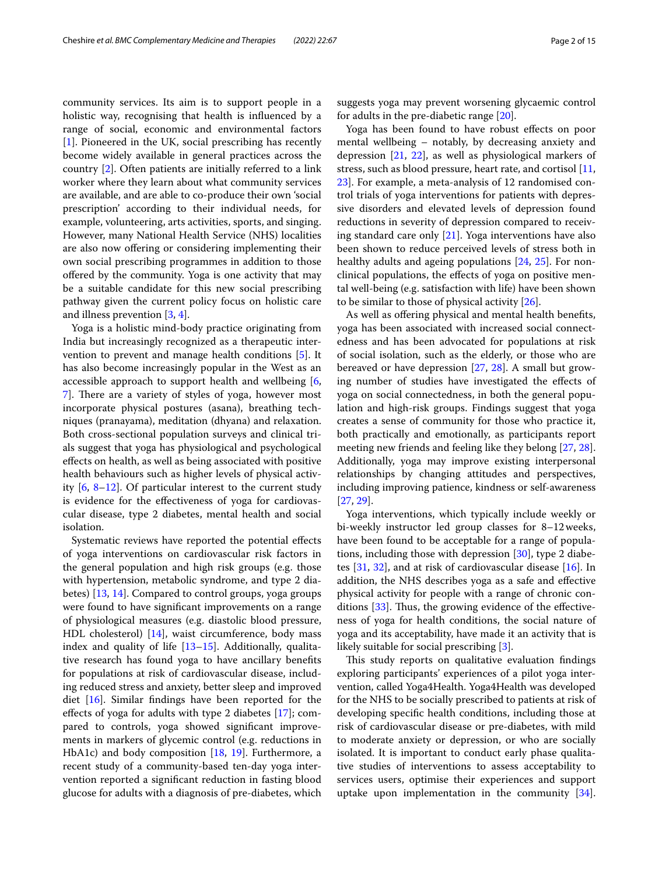community services. Its aim is to support people in a holistic way, recognising that health is infuenced by a range of social, economic and environmental factors [[1\]](#page-12-0). Pioneered in the UK, social prescribing has recently become widely available in general practices across the country [[2\]](#page-12-1). Often patients are initially referred to a link worker where they learn about what community services are available, and are able to co-produce their own 'social prescription' according to their individual needs, for example, volunteering, arts activities, sports, and singing. However, many National Health Service (NHS) localities are also now offering or considering implementing their own social prescribing programmes in addition to those offered by the community. Yoga is one activity that may be a suitable candidate for this new social prescribing pathway given the current policy focus on holistic care and illness prevention [[3,](#page-12-2) [4](#page-12-3)].

Yoga is a holistic mind-body practice originating from India but increasingly recognized as a therapeutic intervention to prevent and manage health conditions [\[5](#page-12-4)]. It has also become increasingly popular in the West as an accessible approach to support health and wellbeing [\[6](#page-12-5), 7. There are a variety of styles of yoga, however most incorporate physical postures (asana), breathing techniques (pranayama), meditation (dhyana) and relaxation. Both cross-sectional population surveys and clinical trials suggest that yoga has physiological and psychological efects on health, as well as being associated with positive health behaviours such as higher levels of physical activity [[6,](#page-12-5) [8](#page-12-7)[–12](#page-12-8)]. Of particular interest to the current study is evidence for the efectiveness of yoga for cardiovascular disease, type 2 diabetes, mental health and social isolation.

Systematic reviews have reported the potential efects of yoga interventions on cardiovascular risk factors in the general population and high risk groups (e.g. those with hypertension, metabolic syndrome, and type 2 diabetes) [[13,](#page-12-9) [14](#page-12-10)]. Compared to control groups, yoga groups were found to have signifcant improvements on a range of physiological measures (e.g. diastolic blood pressure, HDL cholesterol) [\[14](#page-12-10)], waist circumference, body mass index and quality of life  $[13-15]$  $[13-15]$  $[13-15]$ . Additionally, qualitative research has found yoga to have ancillary benefts for populations at risk of cardiovascular disease, including reduced stress and anxiety, better sleep and improved diet [\[16](#page-12-12)]. Similar fndings have been reported for the efects of yoga for adults with type 2 diabetes [\[17\]](#page-12-13); compared to controls, yoga showed signifcant improvements in markers of glycemic control (e.g. reductions in HbA1c) and body composition [\[18,](#page-13-0) [19\]](#page-13-1). Furthermore, a recent study of a community-based ten-day yoga intervention reported a signifcant reduction in fasting blood glucose for adults with a diagnosis of pre-diabetes, which

suggests yoga may prevent worsening glycaemic control for adults in the pre-diabetic range [[20\]](#page-13-2).

Yoga has been found to have robust efects on poor mental wellbeing – notably, by decreasing anxiety and depression [[21,](#page-13-3) [22\]](#page-13-4), as well as physiological markers of stress, such as blood pressure, heart rate, and cortisol [[11](#page-12-14), [23\]](#page-13-5). For example, a meta-analysis of 12 randomised control trials of yoga interventions for patients with depressive disorders and elevated levels of depression found reductions in severity of depression compared to receiving standard care only [[21\]](#page-13-3). Yoga interventions have also been shown to reduce perceived levels of stress both in healthy adults and ageing populations [\[24](#page-13-6), [25](#page-13-7)]. For nonclinical populations, the efects of yoga on positive mental well-being (e.g. satisfaction with life) have been shown to be similar to those of physical activity [[26\]](#page-13-8).

As well as ofering physical and mental health benefts, yoga has been associated with increased social connectedness and has been advocated for populations at risk of social isolation, such as the elderly, or those who are bereaved or have depression [[27,](#page-13-9) [28](#page-13-10)]. A small but growing number of studies have investigated the efects of yoga on social connectedness, in both the general population and high-risk groups. Findings suggest that yoga creates a sense of community for those who practice it, both practically and emotionally, as participants report meeting new friends and feeling like they belong [[27,](#page-13-9) [28](#page-13-10)]. Additionally, yoga may improve existing interpersonal relationships by changing attitudes and perspectives, including improving patience, kindness or self-awareness [[27,](#page-13-9) [29](#page-13-11)].

Yoga interventions, which typically include weekly or bi-weekly instructor led group classes for 8–12weeks, have been found to be acceptable for a range of populations, including those with depression [[30\]](#page-13-12), type 2 diabetes [\[31](#page-13-13), [32](#page-13-14)], and at risk of cardiovascular disease [[16](#page-12-12)]. In addition, the NHS describes yoga as a safe and efective physical activity for people with a range of chronic con-ditions [\[33\]](#page-13-15). Thus, the growing evidence of the effectiveness of yoga for health conditions, the social nature of yoga and its acceptability, have made it an activity that is likely suitable for social prescribing [[3\]](#page-12-2).

This study reports on qualitative evaluation findings exploring participants' experiences of a pilot yoga intervention, called Yoga4Health. Yoga4Health was developed for the NHS to be socially prescribed to patients at risk of developing specifc health conditions, including those at risk of cardiovascular disease or pre-diabetes, with mild to moderate anxiety or depression, or who are socially isolated. It is important to conduct early phase qualitative studies of interventions to assess acceptability to services users, optimise their experiences and support uptake upon implementation in the community [\[34](#page-13-16)].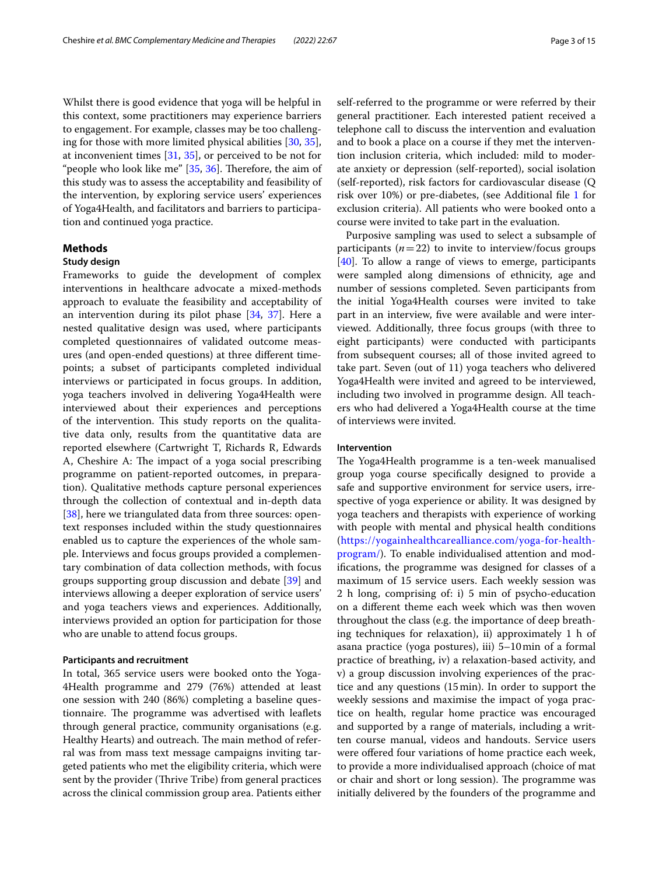Whilst there is good evidence that yoga will be helpful in this context, some practitioners may experience barriers to engagement. For example, classes may be too challenging for those with more limited physical abilities [[30](#page-13-12), [35](#page-13-17)], at inconvenient times [\[31](#page-13-13), [35](#page-13-17)], or perceived to be not for "people who look like me"  $[35, 36]$  $[35, 36]$  $[35, 36]$  $[35, 36]$ . Therefore, the aim of this study was to assess the acceptability and feasibility of the intervention, by exploring service users' experiences of Yoga4Health, and facilitators and barriers to participation and continued yoga practice.

# **Methods**

## **Study design**

Frameworks to guide the development of complex interventions in healthcare advocate a mixed-methods approach to evaluate the feasibility and acceptability of an intervention during its pilot phase [[34,](#page-13-16) [37\]](#page-13-19). Here a nested qualitative design was used, where participants completed questionnaires of validated outcome measures (and open-ended questions) at three diferent timepoints; a subset of participants completed individual interviews or participated in focus groups. In addition, yoga teachers involved in delivering Yoga4Health were interviewed about their experiences and perceptions of the intervention. This study reports on the qualitative data only, results from the quantitative data are reported elsewhere (Cartwright T, Richards R, Edwards A, Cheshire A: The impact of a yoga social prescribing programme on patient-reported outcomes, in preparation). Qualitative methods capture personal experiences through the collection of contextual and in-depth data [[38\]](#page-13-20), here we triangulated data from three sources: opentext responses included within the study questionnaires enabled us to capture the experiences of the whole sample. Interviews and focus groups provided a complementary combination of data collection methods, with focus groups supporting group discussion and debate [\[39](#page-13-21)] and interviews allowing a deeper exploration of service users' and yoga teachers views and experiences. Additionally, interviews provided an option for participation for those who are unable to attend focus groups.

#### **Participants and recruitment**

In total, 365 service users were booked onto the Yoga-4Health programme and 279 (76%) attended at least one session with 240 (86%) completing a baseline questionnaire. The programme was advertised with leaflets through general practice, community organisations (e.g. Healthy Hearts) and outreach. The main method of referral was from mass text message campaigns inviting targeted patients who met the eligibility criteria, which were sent by the provider (Thrive Tribe) from general practices across the clinical commission group area. Patients either self-referred to the programme or were referred by their general practitioner. Each interested patient received a telephone call to discuss the intervention and evaluation and to book a place on a course if they met the intervention inclusion criteria, which included: mild to moderate anxiety or depression (self-reported), social isolation (self-reported), risk factors for cardiovascular disease (Q risk over 10%) or pre-diabetes, (see Additional fle [1](#page-12-15) for exclusion criteria). All patients who were booked onto a course were invited to take part in the evaluation.

Purposive sampling was used to select a subsample of participants  $(n=22)$  to invite to interview/focus groups [[40\]](#page-13-22). To allow a range of views to emerge, participants were sampled along dimensions of ethnicity, age and number of sessions completed. Seven participants from the initial Yoga4Health courses were invited to take part in an interview, fve were available and were interviewed. Additionally, three focus groups (with three to eight participants) were conducted with participants from subsequent courses; all of those invited agreed to take part. Seven (out of 11) yoga teachers who delivered Yoga4Health were invited and agreed to be interviewed, including two involved in programme design. All teachers who had delivered a Yoga4Health course at the time of interviews were invited.

## **Intervention**

The Yoga4Health programme is a ten-week manualised group yoga course specifcally designed to provide a safe and supportive environment for service users, irrespective of yoga experience or ability. It was designed by yoga teachers and therapists with experience of working with people with mental and physical health conditions ([https://yogainhealthcarealliance.com/yoga-for-health](https://yogainhealthcarealliance.com/yoga-for-health-program/)[program/\)](https://yogainhealthcarealliance.com/yoga-for-health-program/). To enable individualised attention and modifcations, the programme was designed for classes of a maximum of 15 service users. Each weekly session was 2 h long, comprising of: i) 5 min of psycho-education on a diferent theme each week which was then woven throughout the class (e.g. the importance of deep breathing techniques for relaxation), ii) approximately 1 h of asana practice (yoga postures), iii) 5–10min of a formal practice of breathing, iv) a relaxation-based activity, and v) a group discussion involving experiences of the practice and any questions (15min). In order to support the weekly sessions and maximise the impact of yoga practice on health, regular home practice was encouraged and supported by a range of materials, including a written course manual, videos and handouts. Service users were offered four variations of home practice each week, to provide a more individualised approach (choice of mat or chair and short or long session). The programme was initially delivered by the founders of the programme and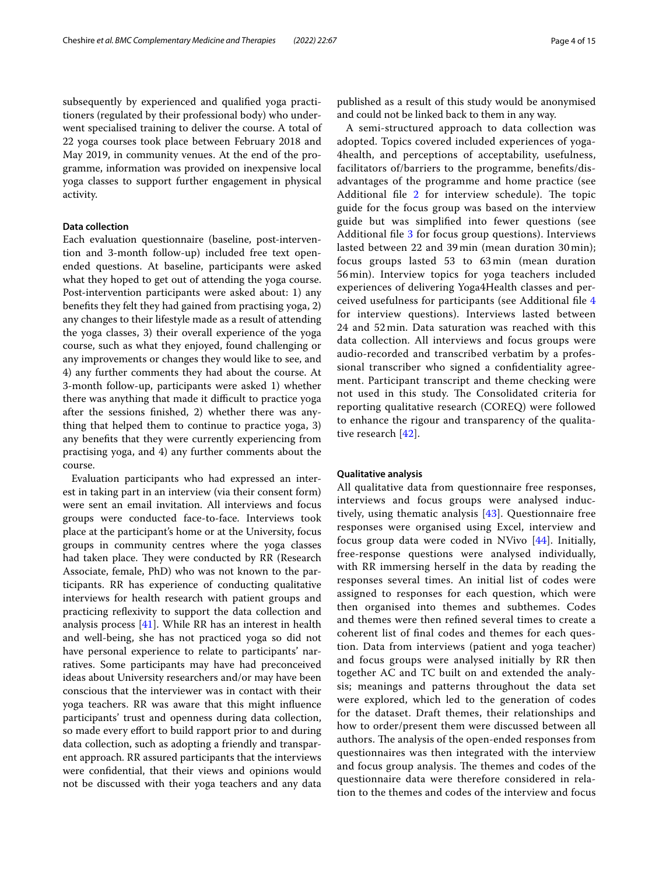subsequently by experienced and qualifed yoga practitioners (regulated by their professional body) who underwent specialised training to deliver the course. A total of 22 yoga courses took place between February 2018 and May 2019, in community venues. At the end of the programme, information was provided on inexpensive local yoga classes to support further engagement in physical activity.

# **Data collection**

Each evaluation questionnaire (baseline, post-intervention and 3-month follow-up) included free text openended questions. At baseline, participants were asked what they hoped to get out of attending the yoga course. Post-intervention participants were asked about: 1) any benefts they felt they had gained from practising yoga, 2) any changes to their lifestyle made as a result of attending the yoga classes, 3) their overall experience of the yoga course, such as what they enjoyed, found challenging or any improvements or changes they would like to see, and 4) any further comments they had about the course. At 3-month follow-up, participants were asked 1) whether there was anything that made it difficult to practice yoga after the sessions fnished, 2) whether there was anything that helped them to continue to practice yoga, 3) any benefts that they were currently experiencing from practising yoga, and 4) any further comments about the course.

Evaluation participants who had expressed an interest in taking part in an interview (via their consent form) were sent an email invitation. All interviews and focus groups were conducted face-to-face. Interviews took place at the participant's home or at the University, focus groups in community centres where the yoga classes had taken place. They were conducted by RR (Research Associate, female, PhD) who was not known to the participants. RR has experience of conducting qualitative interviews for health research with patient groups and practicing refexivity to support the data collection and analysis process [\[41](#page-13-23)]. While RR has an interest in health and well-being, she has not practiced yoga so did not have personal experience to relate to participants' narratives. Some participants may have had preconceived ideas about University researchers and/or may have been conscious that the interviewer was in contact with their yoga teachers. RR was aware that this might infuence participants' trust and openness during data collection, so made every effort to build rapport prior to and during data collection, such as adopting a friendly and transparent approach. RR assured participants that the interviews were confdential, that their views and opinions would not be discussed with their yoga teachers and any data published as a result of this study would be anonymised and could not be linked back to them in any way.

A semi-structured approach to data collection was adopted. Topics covered included experiences of yoga-4health, and perceptions of acceptability, usefulness, facilitators of/barriers to the programme, benefts/disadvantages of the programme and home practice (see Additional file  $2$  for interview schedule). The topic guide for the focus group was based on the interview guide but was simplifed into fewer questions (see Additional fle [3](#page-12-17) for focus group questions). Interviews lasted between 22 and 39 min (mean duration 30 min); focus groups lasted 53 to 63 min (mean duration 56 min). Interview topics for yoga teachers included experiences of delivering Yoga4Health classes and perceived usefulness for participants (see Additional fle [4](#page-12-18) for interview questions). Interviews lasted between 24 and 52 min. Data saturation was reached with this data collection. All interviews and focus groups were audio-recorded and transcribed verbatim by a professional transcriber who signed a confdentiality agreement. Participant transcript and theme checking were not used in this study. The Consolidated criteria for reporting qualitative research (COREQ) were followed to enhance the rigour and transparency of the qualitative research [[42](#page-13-24)].

## **Qualitative analysis**

All qualitative data from questionnaire free responses, interviews and focus groups were analysed inductively, using thematic analysis [\[43](#page-13-25)]. Questionnaire free responses were organised using Excel, interview and focus group data were coded in NVivo [\[44](#page-13-26)]. Initially, free-response questions were analysed individually, with RR immersing herself in the data by reading the responses several times. An initial list of codes were assigned to responses for each question, which were then organised into themes and subthemes. Codes and themes were then refned several times to create a coherent list of fnal codes and themes for each question. Data from interviews (patient and yoga teacher) and focus groups were analysed initially by RR then together AC and TC built on and extended the analysis; meanings and patterns throughout the data set were explored, which led to the generation of codes for the dataset. Draft themes, their relationships and how to order/present them were discussed between all authors. The analysis of the open-ended responses from questionnaires was then integrated with the interview and focus group analysis. The themes and codes of the questionnaire data were therefore considered in relation to the themes and codes of the interview and focus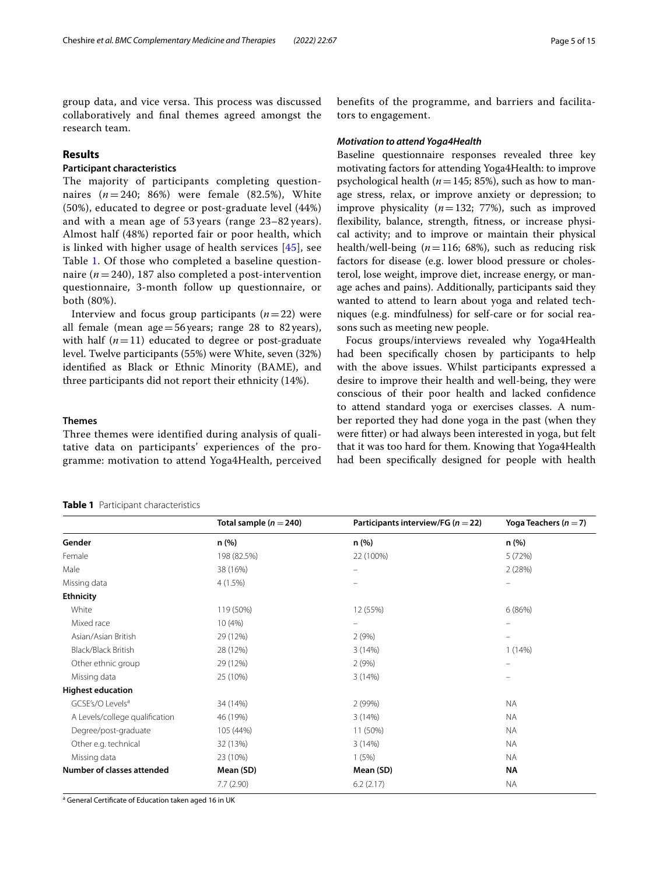group data, and vice versa. This process was discussed collaboratively and fnal themes agreed amongst the research team.

# **Results**

# **Participant characteristics**

The majority of participants completing questionnaires  $(n = 240; 86%)$  were female  $(82.5%),$  White (50%), educated to degree or post-graduate level (44%) and with a mean age of 53 years (range 23–82 years). Almost half (48%) reported fair or poor health, which is linked with higher usage of health services [[45](#page-13-27)], see Table [1](#page-4-0). Of those who completed a baseline questionnaire ( $n = 240$ ), 187 also completed a post-intervention questionnaire, 3-month follow up questionnaire, or both (80%).

Interview and focus group participants  $(n=22)$  were all female (mean age  $=56$  years; range 28 to 82 years), with half  $(n=11)$  educated to degree or post-graduate level. Twelve participants (55%) were White, seven (32%) identifed as Black or Ethnic Minority (BAME), and three participants did not report their ethnicity (14%).

# **Themes**

Three themes were identified during analysis of qualitative data on participants' experiences of the programme: motivation to attend Yoga4Health, perceived

<span id="page-4-0"></span>

|  |  | <b>Table 1</b> Participant characteristics |
|--|--|--------------------------------------------|
|--|--|--------------------------------------------|

benefits of the programme, and barriers and facilitators to engagement.

#### *Motivation to attend Yoga4Health*

Baseline questionnaire responses revealed three key motivating factors for attending Yoga4Health: to improve psychological health ( $n=145$ ; 85%), such as how to manage stress, relax, or improve anxiety or depression; to improve physicality (*n*=132; 77%), such as improved fexibility, balance, strength, ftness, or increase physical activity; and to improve or maintain their physical health/well-being (*n*=116; 68%), such as reducing risk factors for disease (e.g. lower blood pressure or cholesterol, lose weight, improve diet, increase energy, or manage aches and pains). Additionally, participants said they wanted to attend to learn about yoga and related techniques (e.g. mindfulness) for self-care or for social reasons such as meeting new people.

Focus groups/interviews revealed why Yoga4Health had been specifcally chosen by participants to help with the above issues. Whilst participants expressed a desire to improve their health and well-being, they were conscious of their poor health and lacked confdence to attend standard yoga or exercises classes. A number reported they had done yoga in the past (when they were ftter) or had always been interested in yoga, but felt that it was too hard for them. Knowing that Yoga4Health had been specifcally designed for people with health

|                                | Total sample ( $n = 240$ ) | Participants interview/FG ( $n = 22$ ) | Yoga Teachers ( $n = 7$ ) |  |
|--------------------------------|----------------------------|----------------------------------------|---------------------------|--|
| Gender                         | n (%)                      | n (%)                                  | n (%)                     |  |
| Female                         | 198 (82.5%)                | 22 (100%)                              | 5 (72%)                   |  |
| Male                           | 38 (16%)                   | $\overline{\phantom{0}}$               | 2(28%)                    |  |
| Missing data                   | 4(1.5%)                    |                                        |                           |  |
| <b>Ethnicity</b>               |                            |                                        |                           |  |
| White                          | 119 (50%)                  | 12 (55%)                               | 6(86%)                    |  |
| Mixed race                     | 10(4%)                     | $\overline{\phantom{m}}$               | -                         |  |
| Asian/Asian British            | 29 (12%)                   | 2(9%)                                  | -                         |  |
| Black/Black British            | 28 (12%)                   | 3(14%)                                 | 1(14%)                    |  |
| Other ethnic group             | 29 (12%)                   | 2(9%)                                  | $\overline{\phantom{m}}$  |  |
| Missing data                   | 25 (10%)                   | 3(14%)                                 | -                         |  |
| <b>Highest education</b>       |                            |                                        |                           |  |
| GCSE's/O Levels <sup>a</sup>   | 34 (14%)                   | 2(99%)                                 | <b>NA</b>                 |  |
| A Levels/college qualification | 46 (19%)                   | 3(14%)                                 | <b>NA</b>                 |  |
| Degree/post-graduate           | 105 (44%)                  | 11 (50%)                               | <b>NA</b>                 |  |
| Other e.g. technical           | 32 (13%)                   | 3(14%)                                 | <b>NA</b>                 |  |
| Missing data                   | 23 (10%)                   | 1(5%)                                  | <b>NA</b>                 |  |
| Number of classes attended     | Mean (SD)                  | Mean (SD)                              | ΝA                        |  |
|                                | 7.7(2.90)                  | 6.2(2.17)                              | <b>NA</b>                 |  |

<sup>a</sup> General Certificate of Education taken aged 16 in UK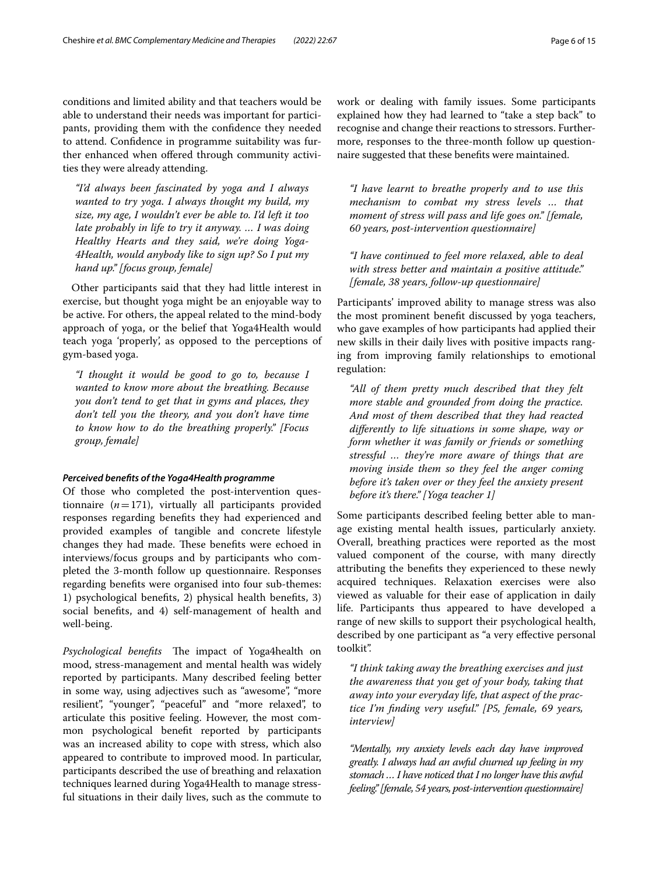conditions and limited ability and that teachers would be able to understand their needs was important for participants, providing them with the confdence they needed to attend. Confdence in programme suitability was further enhanced when ofered through community activities they were already attending.

*"I'd always been fascinated by yoga and I always wanted to try yoga. I always thought my build, my size, my age, I wouldn't ever be able to. I'd left it too late probably in life to try it anyway. … I was doing Healthy Hearts and they said, we're doing Yoga-4Health, would anybody like to sign up? So I put my hand up." [focus group, female]*

Other participants said that they had little interest in exercise, but thought yoga might be an enjoyable way to be active. For others, the appeal related to the mind-body approach of yoga, or the belief that Yoga4Health would teach yoga 'properly', as opposed to the perceptions of gym-based yoga.

*"I thought it would be good to go to, because I wanted to know more about the breathing. Because you don't tend to get that in gyms and places, they don't tell you the theory, and you don't have time to know how to do the breathing properly." [Focus group, female]*

## *Perceived benefts of the Yoga4Health programme*

Of those who completed the post-intervention questionnaire (*n*=171), virtually all participants provided responses regarding benefts they had experienced and provided examples of tangible and concrete lifestyle changes they had made. These benefits were echoed in interviews/focus groups and by participants who completed the 3-month follow up questionnaire. Responses regarding benefts were organised into four sub-themes: 1) psychological benefts, 2) physical health benefts, 3) social benefts, and 4) self-management of health and well-being.

Psychological benefits The impact of Yoga4health on mood, stress-management and mental health was widely reported by participants. Many described feeling better in some way, using adjectives such as "awesome", "more resilient", "younger", "peaceful" and "more relaxed", to articulate this positive feeling. However, the most common psychological beneft reported by participants was an increased ability to cope with stress, which also appeared to contribute to improved mood. In particular, participants described the use of breathing and relaxation techniques learned during Yoga4Health to manage stressful situations in their daily lives, such as the commute to work or dealing with family issues. Some participants explained how they had learned to "take a step back" to recognise and change their reactions to stressors. Furthermore, responses to the three-month follow up questionnaire suggested that these benefts were maintained.

*"I have learnt to breathe properly and to use this mechanism to combat my stress levels … that moment of stress will pass and life goes on." [female, 60 years, post-intervention questionnaire]*

*"I have continued to feel more relaxed, able to deal with stress better and maintain a positive attitude." [female, 38 years, follow-up questionnaire]*

Participants' improved ability to manage stress was also the most prominent beneft discussed by yoga teachers, who gave examples of how participants had applied their new skills in their daily lives with positive impacts ranging from improving family relationships to emotional regulation:

*"All of them pretty much described that they felt more stable and grounded from doing the practice. And most of them described that they had reacted diferently to life situations in some shape, way or form whether it was family or friends or something stressful … they're more aware of things that are moving inside them so they feel the anger coming before it's taken over or they feel the anxiety present before it's there." [Yoga teacher 1]*

Some participants described feeling better able to manage existing mental health issues, particularly anxiety. Overall, breathing practices were reported as the most valued component of the course, with many directly attributing the benefts they experienced to these newly acquired techniques. Relaxation exercises were also viewed as valuable for their ease of application in daily life. Participants thus appeared to have developed a range of new skills to support their psychological health, described by one participant as "a very efective personal toolkit".

*"I think taking away the breathing exercises and just the awareness that you get of your body, taking that away into your everyday life, that aspect of the practice I'm fnding very useful." [P5, female, 69 years, interview]*

*"Mentally, my anxiety levels each day have improved greatly. I always had an awful churned up feeling in my stomach … I have noticed that I no longer have this awful feeling." [female, 54 years, post-intervention questionnaire]*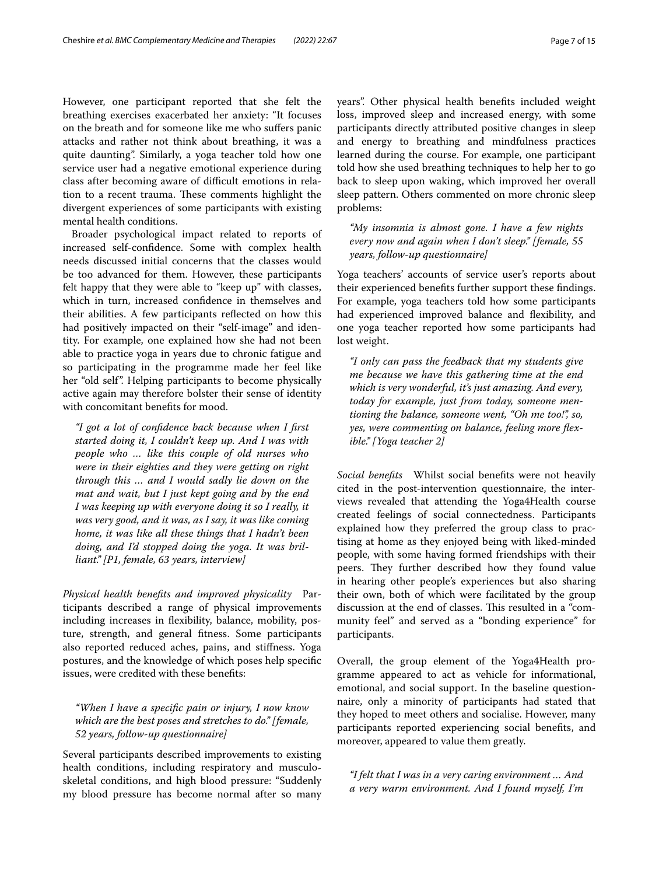However, one participant reported that she felt the breathing exercises exacerbated her anxiety: "It focuses on the breath and for someone like me who sufers panic attacks and rather not think about breathing, it was a quite daunting". Similarly, a yoga teacher told how one service user had a negative emotional experience during class after becoming aware of difficult emotions in relation to a recent trauma. These comments highlight the divergent experiences of some participants with existing mental health conditions.

Broader psychological impact related to reports of increased self-confdence. Some with complex health needs discussed initial concerns that the classes would be too advanced for them. However, these participants felt happy that they were able to "keep up" with classes, which in turn, increased confdence in themselves and their abilities. A few participants refected on how this had positively impacted on their "self-image" and identity. For example, one explained how she had not been able to practice yoga in years due to chronic fatigue and so participating in the programme made her feel like her "old self". Helping participants to become physically active again may therefore bolster their sense of identity with concomitant benefts for mood.

*"I got a lot of confdence back because when I frst started doing it, I couldn't keep up. And I was with people who … like this couple of old nurses who were in their eighties and they were getting on right through this … and I would sadly lie down on the mat and wait, but I just kept going and by the end I was keeping up with everyone doing it so I really, it was very good, and it was, as I say, it was like coming home, it was like all these things that I hadn't been doing, and I'd stopped doing the yoga. It was brilliant." [P1, female, 63 years, interview]*

*Physical health benefts and improved physicality* Participants described a range of physical improvements including increases in fexibility, balance, mobility, posture, strength, and general ftness. Some participants also reported reduced aches, pains, and stifness. Yoga postures, and the knowledge of which poses help specifc issues, were credited with these benefts:

*"When I have a specifc pain or injury, I now know which are the best poses and stretches to do." [female, 52 years, follow-up questionnaire]*

Several participants described improvements to existing health conditions, including respiratory and musculoskeletal conditions, and high blood pressure: "Suddenly my blood pressure has become normal after so many years". Other physical health benefts included weight loss, improved sleep and increased energy, with some participants directly attributed positive changes in sleep and energy to breathing and mindfulness practices learned during the course. For example, one participant told how she used breathing techniques to help her to go back to sleep upon waking, which improved her overall sleep pattern. Others commented on more chronic sleep problems:

*"My insomnia is almost gone. I have a few nights every now and again when I don't sleep." [female, 55 years, follow-up questionnaire]*

Yoga teachers' accounts of service user's reports about their experienced benefts further support these fndings. For example, yoga teachers told how some participants had experienced improved balance and fexibility, and one yoga teacher reported how some participants had lost weight.

*"I only can pass the feedback that my students give me because we have this gathering time at the end which is very wonderful, it's just amazing. And every, today for example, just from today, someone mentioning the balance, someone went, "Oh me too!", so, yes, were commenting on balance, feeling more fexible." [Yoga teacher 2]*

*Social benefts* Whilst social benefts were not heavily cited in the post-intervention questionnaire, the interviews revealed that attending the Yoga4Health course created feelings of social connectedness. Participants explained how they preferred the group class to practising at home as they enjoyed being with liked-minded people, with some having formed friendships with their peers. They further described how they found value in hearing other people's experiences but also sharing their own, both of which were facilitated by the group discussion at the end of classes. This resulted in a "community feel" and served as a "bonding experience" for participants.

Overall, the group element of the Yoga4Health programme appeared to act as vehicle for informational, emotional, and social support. In the baseline questionnaire, only a minority of participants had stated that they hoped to meet others and socialise. However, many participants reported experiencing social benefts, and moreover, appeared to value them greatly.

*"I felt that I was in a very caring environment … And a very warm environment. And I found myself, I'm*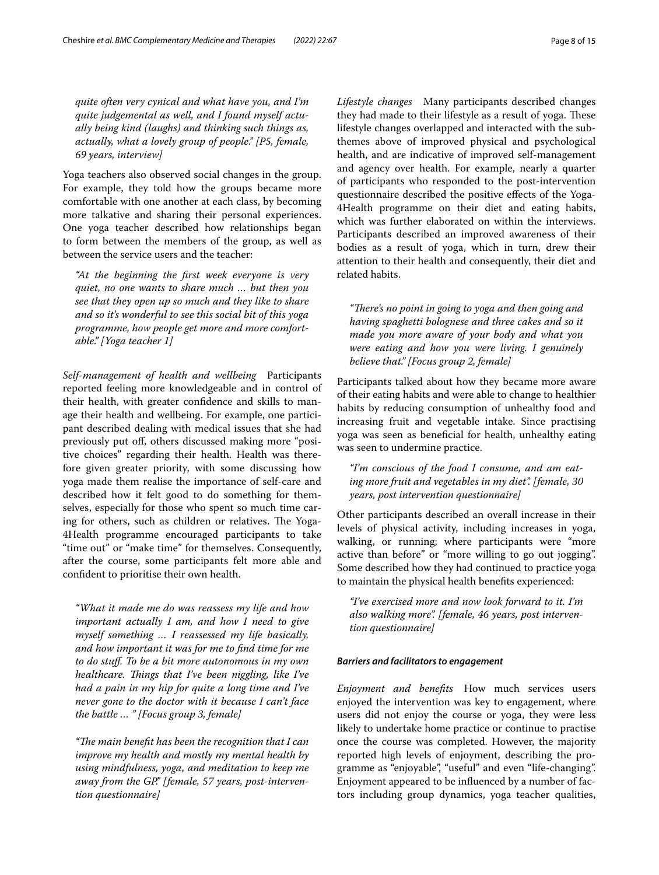*quite often very cynical and what have you, and I'm quite judgemental as well, and I found myself actually being kind (laughs) and thinking such things as, actually, what a lovely group of people." [P5, female, 69 years, interview]*

Yoga teachers also observed social changes in the group. For example, they told how the groups became more comfortable with one another at each class, by becoming more talkative and sharing their personal experiences. One yoga teacher described how relationships began to form between the members of the group, as well as between the service users and the teacher:

*"At the beginning the frst week everyone is very quiet, no one wants to share much … but then you see that they open up so much and they like to share and so it's wonderful to see this social bit of this yoga programme, how people get more and more comfortable." [Yoga teacher 1]*

*Self-management of health and wellbeing* Participants reported feeling more knowledgeable and in control of their health, with greater confdence and skills to manage their health and wellbeing. For example, one participant described dealing with medical issues that she had previously put of, others discussed making more "positive choices" regarding their health. Health was therefore given greater priority, with some discussing how yoga made them realise the importance of self-care and described how it felt good to do something for themselves, especially for those who spent so much time caring for others, such as children or relatives. The Yoga-4Health programme encouraged participants to take "time out" or "make time" for themselves. Consequently, after the course, some participants felt more able and confdent to prioritise their own health.

*"What it made me do was reassess my life and how important actually I am, and how I need to give myself something … I reassessed my life basically, and how important it was for me to fnd time for me to do stuf. To be a bit more autonomous in my own healthcare. Tings that I've been niggling, like I've had a pain in my hip for quite a long time and I've never gone to the doctor with it because I can't face the battle … " [Focus group 3, female]*

"The main benefit has been the recognition that I can *improve my health and mostly my mental health by using mindfulness, yoga, and meditation to keep me away from the GP." [female, 57 years, post-intervention questionnaire]*

*Lifestyle changes* Many participants described changes they had made to their lifestyle as a result of yoga. These lifestyle changes overlapped and interacted with the subthemes above of improved physical and psychological health, and are indicative of improved self-management and agency over health. For example, nearly a quarter of participants who responded to the post-intervention questionnaire described the positive efects of the Yoga-4Health programme on their diet and eating habits, which was further elaborated on within the interviews. Participants described an improved awareness of their bodies as a result of yoga, which in turn, drew their attention to their health and consequently, their diet and related habits.

"There's no point in going to yoga and then going and *having spaghetti bolognese and three cakes and so it made you more aware of your body and what you were eating and how you were living. I genuinely believe that." [Focus group 2, female]*

Participants talked about how they became more aware of their eating habits and were able to change to healthier habits by reducing consumption of unhealthy food and increasing fruit and vegetable intake. Since practising yoga was seen as benefcial for health, unhealthy eating was seen to undermine practice.

*"I'm conscious of the food I consume, and am eating more fruit and vegetables in my diet". [female, 30 years, post intervention questionnaire]*

Other participants described an overall increase in their levels of physical activity, including increases in yoga, walking, or running; where participants were "more active than before" or "more willing to go out jogging". Some described how they had continued to practice yoga to maintain the physical health benefts experienced:

*"I've exercised more and now look forward to it. I'm also walking more". [female, 46 years, post intervention questionnaire]*

# *Barriers and facilitators to engagement*

*Enjoyment and benefts* How much services users enjoyed the intervention was key to engagement, where users did not enjoy the course or yoga, they were less likely to undertake home practice or continue to practise once the course was completed. However, the majority reported high levels of enjoyment, describing the programme as "enjoyable", "useful" and even "life-changing". Enjoyment appeared to be infuenced by a number of factors including group dynamics, yoga teacher qualities,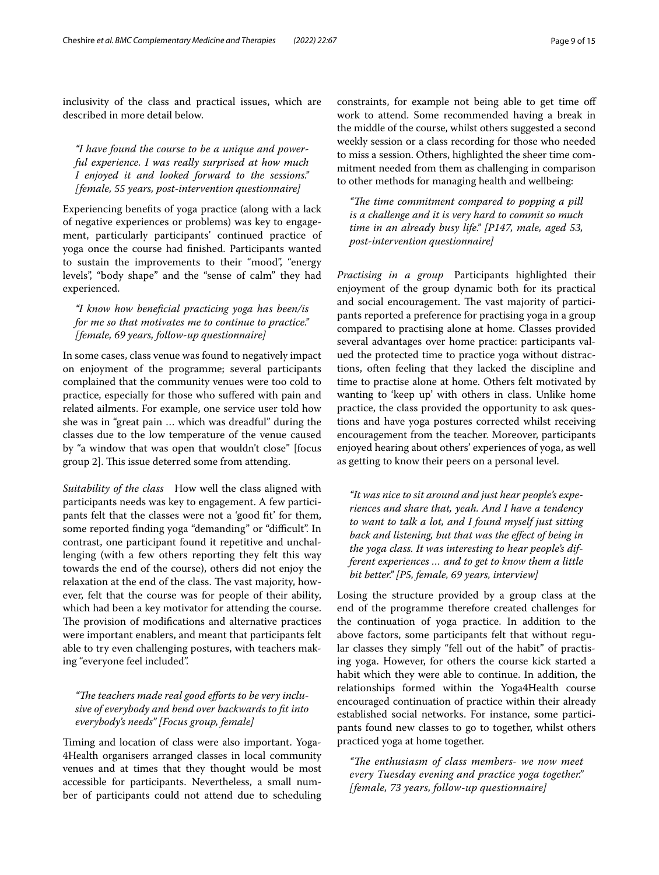inclusivity of the class and practical issues, which are described in more detail below.

*"I have found the course to be a unique and powerful experience. I was really surprised at how much I enjoyed it and looked forward to the sessions." [female, 55 years, post-intervention questionnaire]*

Experiencing benefts of yoga practice (along with a lack of negative experiences or problems) was key to engagement, particularly participants' continued practice of yoga once the course had fnished. Participants wanted to sustain the improvements to their "mood", "energy levels", "body shape" and the "sense of calm" they had experienced.

*"I know how benefcial practicing yoga has been/is for me so that motivates me to continue to practice." [female, 69 years, follow-up questionnaire]*

In some cases, class venue was found to negatively impact on enjoyment of the programme; several participants complained that the community venues were too cold to practice, especially for those who sufered with pain and related ailments. For example, one service user told how she was in "great pain … which was dreadful" during the classes due to the low temperature of the venue caused by "a window that was open that wouldn't close" [focus group 2]. This issue deterred some from attending.

*Suitability of the class* How well the class aligned with participants needs was key to engagement. A few participants felt that the classes were not a 'good ft' for them, some reported finding yoga "demanding" or "difficult". In contrast, one participant found it repetitive and unchallenging (with a few others reporting they felt this way towards the end of the course), others did not enjoy the relaxation at the end of the class. The vast majority, however, felt that the course was for people of their ability, which had been a key motivator for attending the course. The provision of modifications and alternative practices were important enablers, and meant that participants felt able to try even challenging postures, with teachers making "everyone feel included".

"The teachers made real good efforts to be very inclu*sive of everybody and bend over backwards to ft into everybody's needs" [Focus group, female]*

Timing and location of class were also important. Yoga-4Health organisers arranged classes in local community venues and at times that they thought would be most accessible for participants. Nevertheless, a small number of participants could not attend due to scheduling constraints, for example not being able to get time of work to attend. Some recommended having a break in the middle of the course, whilst others suggested a second weekly session or a class recording for those who needed to miss a session. Others, highlighted the sheer time commitment needed from them as challenging in comparison to other methods for managing health and wellbeing:

*"Te time commitment compared to popping a pill is a challenge and it is very hard to commit so much time in an already busy life." [P147, male, aged 53, post-intervention questionnaire]*

*Practising in a group* Participants highlighted their enjoyment of the group dynamic both for its practical and social encouragement. The vast majority of participants reported a preference for practising yoga in a group compared to practising alone at home. Classes provided several advantages over home practice: participants valued the protected time to practice yoga without distractions, often feeling that they lacked the discipline and time to practise alone at home. Others felt motivated by wanting to 'keep up' with others in class. Unlike home practice, the class provided the opportunity to ask questions and have yoga postures corrected whilst receiving encouragement from the teacher. Moreover, participants enjoyed hearing about others' experiences of yoga, as well as getting to know their peers on a personal level.

*"It was nice to sit around and just hear people's experiences and share that, yeah. And I have a tendency to want to talk a lot, and I found myself just sitting back and listening, but that was the efect of being in the yoga class. It was interesting to hear people's different experiences … and to get to know them a little bit better." [P5, female, 69 years, interview]*

Losing the structure provided by a group class at the end of the programme therefore created challenges for the continuation of yoga practice. In addition to the above factors, some participants felt that without regular classes they simply "fell out of the habit" of practising yoga. However, for others the course kick started a habit which they were able to continue. In addition, the relationships formed within the Yoga4Health course encouraged continuation of practice within their already established social networks. For instance, some participants found new classes to go to together, whilst others practiced yoga at home together.

*"Te enthusiasm of class members- we now meet every Tuesday evening and practice yoga together." [female, 73 years, follow-up questionnaire]*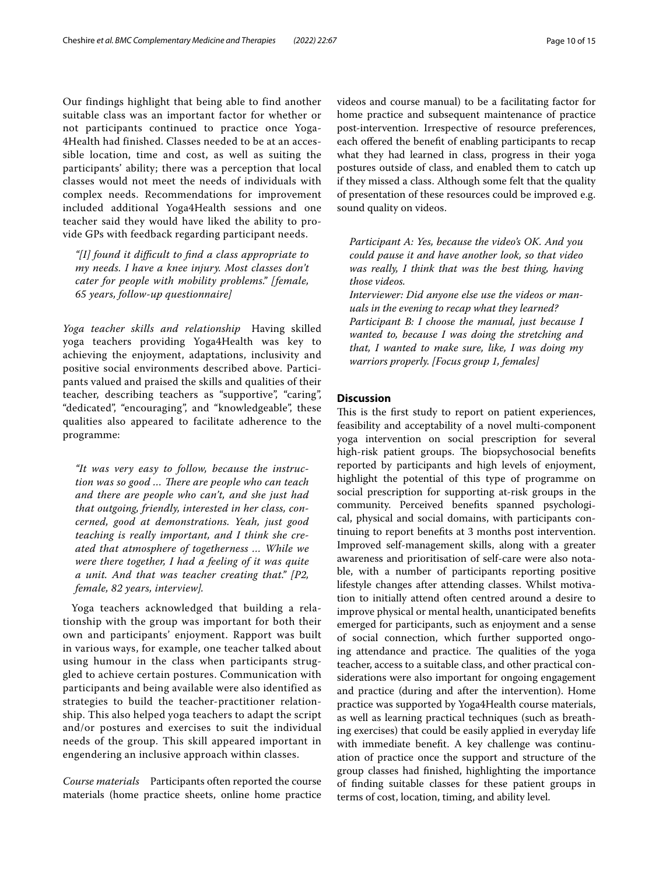Our findings highlight that being able to find another suitable class was an important factor for whether or not participants continued to practice once Yoga-4Health had finished. Classes needed to be at an accessible location, time and cost, as well as suiting the participants' ability; there was a perception that local classes would not meet the needs of individuals with complex needs. Recommendations for improvement included additional Yoga4Health sessions and one teacher said they would have liked the ability to provide GPs with feedback regarding participant needs.

*"[I] found it difcult to fnd a class appropriate to my needs. I have a knee injury. Most classes don't cater for people with mobility problems." [female, 65 years, follow-up questionnaire]*

*Yoga teacher skills and relationship* Having skilled yoga teachers providing Yoga4Health was key to achieving the enjoyment, adaptations, inclusivity and positive social environments described above. Participants valued and praised the skills and qualities of their teacher, describing teachers as "supportive", "caring", "dedicated", "encouraging", and "knowledgeable", these qualities also appeared to facilitate adherence to the programme:

*"It was very easy to follow, because the instruc*tion was so good ... There are people who can teach *and there are people who can't, and she just had that outgoing, friendly, interested in her class, concerned, good at demonstrations. Yeah, just good teaching is really important, and I think she created that atmosphere of togetherness … While we were there together, I had a feeling of it was quite a unit. And that was teacher creating that." [P2, female, 82 years, interview].*

Yoga teachers acknowledged that building a relationship with the group was important for both their own and participants' enjoyment. Rapport was built in various ways, for example, one teacher talked about using humour in the class when participants struggled to achieve certain postures. Communication with participants and being available were also identified as strategies to build the teacher-practitioner relationship. This also helped yoga teachers to adapt the script and/or postures and exercises to suit the individual needs of the group. This skill appeared important in engendering an inclusive approach within classes.

*Course materials* Participants often reported the course materials (home practice sheets, online home practice videos and course manual) to be a facilitating factor for home practice and subsequent maintenance of practice post-intervention. Irrespective of resource preferences, each offered the benefit of enabling participants to recap what they had learned in class, progress in their yoga postures outside of class, and enabled them to catch up if they missed a class. Although some felt that the quality of presentation of these resources could be improved e.g. sound quality on videos.

*Participant A: Yes, because the video's OK. And you could pause it and have another look, so that video was really, I think that was the best thing, having those videos.*

*Interviewer: Did anyone else use the videos or manuals in the evening to recap what they learned? Participant B: I choose the manual, just because I wanted to, because I was doing the stretching and that, I wanted to make sure, like, I was doing my warriors properly. [Focus group 1, females]*

# **Discussion**

This is the first study to report on patient experiences, feasibility and acceptability of a novel multi-component yoga intervention on social prescription for several high-risk patient groups. The biopsychosocial benefits reported by participants and high levels of enjoyment, highlight the potential of this type of programme on social prescription for supporting at-risk groups in the community. Perceived benefts spanned psychological, physical and social domains, with participants continuing to report benefts at 3 months post intervention. Improved self-management skills, along with a greater awareness and prioritisation of self-care were also notable, with a number of participants reporting positive lifestyle changes after attending classes. Whilst motivation to initially attend often centred around a desire to improve physical or mental health, unanticipated benefts emerged for participants, such as enjoyment and a sense of social connection, which further supported ongoing attendance and practice. The qualities of the yoga teacher, access to a suitable class, and other practical considerations were also important for ongoing engagement and practice (during and after the intervention). Home practice was supported by Yoga4Health course materials, as well as learning practical techniques (such as breathing exercises) that could be easily applied in everyday life with immediate beneft. A key challenge was continuation of practice once the support and structure of the group classes had fnished, highlighting the importance of fnding suitable classes for these patient groups in terms of cost, location, timing, and ability level.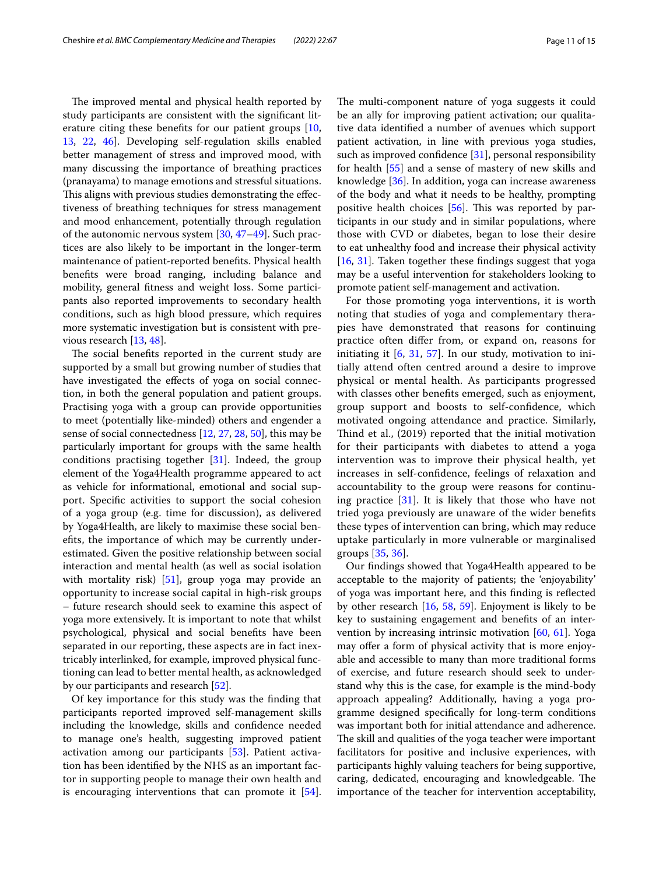The improved mental and physical health reported by study participants are consistent with the signifcant literature citing these benefts for our patient groups [\[10](#page-12-19), [13,](#page-12-9) [22,](#page-13-4) [46\]](#page-13-28). Developing self-regulation skills enabled better management of stress and improved mood, with many discussing the importance of breathing practices (pranayama) to manage emotions and stressful situations. This aligns with previous studies demonstrating the effectiveness of breathing techniques for stress management and mood enhancement, potentially through regulation of the autonomic nervous system [\[30](#page-13-12), [47–](#page-13-29)[49\]](#page-13-30). Such practices are also likely to be important in the longer-term maintenance of patient-reported benefts. Physical health benefts were broad ranging, including balance and mobility, general ftness and weight loss. Some participants also reported improvements to secondary health conditions, such as high blood pressure, which requires more systematic investigation but is consistent with previous research [[13](#page-12-9), [48\]](#page-13-31).

The social benefits reported in the current study are supported by a small but growing number of studies that have investigated the effects of yoga on social connection, in both the general population and patient groups. Practising yoga with a group can provide opportunities to meet (potentially like-minded) others and engender a sense of social connectedness [\[12,](#page-12-8) [27](#page-13-9), [28,](#page-13-10) [50](#page-13-32)], this may be particularly important for groups with the same health conditions practising together  $[31]$  $[31]$  $[31]$ . Indeed, the group element of the Yoga4Health programme appeared to act as vehicle for informational, emotional and social support. Specifc activities to support the social cohesion of a yoga group (e.g. time for discussion), as delivered by Yoga4Health, are likely to maximise these social benefts, the importance of which may be currently underestimated. Given the positive relationship between social interaction and mental health (as well as social isolation with mortality risk) [\[51](#page-13-33)], group yoga may provide an opportunity to increase social capital in high-risk groups – future research should seek to examine this aspect of yoga more extensively. It is important to note that whilst psychological, physical and social benefts have been separated in our reporting, these aspects are in fact inextricably interlinked, for example, improved physical functioning can lead to better mental health, as acknowledged by our participants and research [\[52\]](#page-13-34).

Of key importance for this study was the fnding that participants reported improved self-management skills including the knowledge, skills and confdence needed to manage one's health, suggesting improved patient activation among our participants [[53\]](#page-13-35). Patient activation has been identifed by the NHS as an important factor in supporting people to manage their own health and is encouraging interventions that can promote it [\[54](#page-13-36)].

The multi-component nature of yoga suggests it could be an ally for improving patient activation; our qualitative data identifed a number of avenues which support patient activation, in line with previous yoga studies, such as improved confidence [\[31](#page-13-13)], personal responsibility for health [[55\]](#page-13-37) and a sense of mastery of new skills and knowledge [[36](#page-13-18)]. In addition, yoga can increase awareness of the body and what it needs to be healthy, prompting positive health choices  $[56]$  $[56]$ . This was reported by participants in our study and in similar populations, where those with CVD or diabetes, began to lose their desire to eat unhealthy food and increase their physical activity [[16,](#page-12-12) [31\]](#page-13-13). Taken together these fndings suggest that yoga may be a useful intervention for stakeholders looking to promote patient self-management and activation.

For those promoting yoga interventions, it is worth noting that studies of yoga and complementary therapies have demonstrated that reasons for continuing practice often difer from, or expand on, reasons for initiating it [[6](#page-12-5), [31,](#page-13-13) [57\]](#page-13-39). In our study, motivation to initially attend often centred around a desire to improve physical or mental health. As participants progressed with classes other benefts emerged, such as enjoyment, group support and boosts to self-confdence, which motivated ongoing attendance and practice. Similarly, Thind et al., (2019) reported that the initial motivation for their participants with diabetes to attend a yoga intervention was to improve their physical health, yet increases in self-confdence, feelings of relaxation and accountability to the group were reasons for continuing practice [\[31](#page-13-13)]. It is likely that those who have not tried yoga previously are unaware of the wider benefts these types of intervention can bring, which may reduce uptake particularly in more vulnerable or marginalised groups [\[35](#page-13-17), [36\]](#page-13-18).

Our fndings showed that Yoga4Health appeared to be acceptable to the majority of patients; the 'enjoyability' of yoga was important here, and this fnding is refected by other research [\[16](#page-12-12), [58,](#page-13-40) [59](#page-13-41)]. Enjoyment is likely to be key to sustaining engagement and benefts of an intervention by increasing intrinsic motivation [\[60](#page-13-42), [61](#page-13-43)]. Yoga may offer a form of physical activity that is more enjoyable and accessible to many than more traditional forms of exercise, and future research should seek to understand why this is the case, for example is the mind-body approach appealing? Additionally, having a yoga programme designed specifcally for long-term conditions was important both for initial attendance and adherence. The skill and qualities of the yoga teacher were important facilitators for positive and inclusive experiences, with participants highly valuing teachers for being supportive, caring, dedicated, encouraging and knowledgeable. The importance of the teacher for intervention acceptability,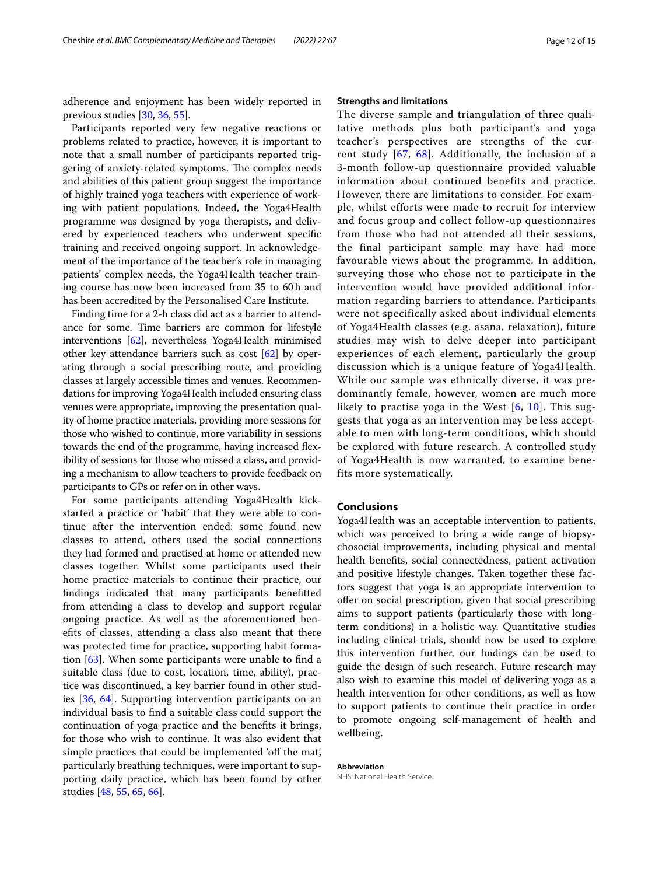adherence and enjoyment has been widely reported in previous studies [\[30](#page-13-12), [36](#page-13-18), [55\]](#page-13-37).

Participants reported very few negative reactions or problems related to practice, however, it is important to note that a small number of participants reported triggering of anxiety-related symptoms. The complex needs and abilities of this patient group suggest the importance of highly trained yoga teachers with experience of working with patient populations. Indeed, the Yoga4Health programme was designed by yoga therapists, and delivered by experienced teachers who underwent specifc training and received ongoing support. In acknowledgement of the importance of the teacher's role in managing patients' complex needs, the Yoga4Health teacher training course has now been increased from 35 to 60h and has been accredited by the Personalised Care Institute.

Finding time for a 2-h class did act as a barrier to attendance for some. Time barriers are common for lifestyle interventions [[62](#page-13-44)], nevertheless Yoga4Health minimised other key attendance barriers such as cost [\[62\]](#page-13-44) by operating through a social prescribing route, and providing classes at largely accessible times and venues. Recommendations for improving Yoga4Health included ensuring class venues were appropriate, improving the presentation quality of home practice materials, providing more sessions for those who wished to continue, more variability in sessions towards the end of the programme, having increased fexibility of sessions for those who missed a class, and providing a mechanism to allow teachers to provide feedback on participants to GPs or refer on in other ways.

For some participants attending Yoga4Health kickstarted a practice or 'habit' that they were able to continue after the intervention ended: some found new classes to attend, others used the social connections they had formed and practised at home or attended new classes together. Whilst some participants used their home practice materials to continue their practice, our fndings indicated that many participants beneftted from attending a class to develop and support regular ongoing practice. As well as the aforementioned benefts of classes, attending a class also meant that there was protected time for practice, supporting habit formation [\[63](#page-14-0)]. When some participants were unable to fnd a suitable class (due to cost, location, time, ability), practice was discontinued, a key barrier found in other studies [[36](#page-13-18), [64](#page-14-1)]. Supporting intervention participants on an individual basis to fnd a suitable class could support the continuation of yoga practice and the benefts it brings, for those who wish to continue. It was also evident that simple practices that could be implemented 'off the mat', particularly breathing techniques, were important to supporting daily practice, which has been found by other studies [[48,](#page-13-31) [55,](#page-13-37) [65](#page-14-2), [66\]](#page-14-3).

# **Strengths and limitations**

The diverse sample and triangulation of three qualitative methods plus both participant's and yoga teacher's perspectives are strengths of the current study [[67](#page-14-4), [68\]](#page-14-5). Additionally, the inclusion of a 3-month follow-up questionnaire provided valuable information about continued benefits and practice. However, there are limitations to consider. For example, whilst efforts were made to recruit for interview and focus group and collect follow-up questionnaires from those who had not attended all their sessions, the final participant sample may have had more favourable views about the programme. In addition, surveying those who chose not to participate in the intervention would have provided additional information regarding barriers to attendance. Participants were not specifically asked about individual elements of Yoga4Health classes (e.g. asana, relaxation), future studies may wish to delve deeper into participant experiences of each element, particularly the group discussion which is a unique feature of Yoga4Health. While our sample was ethnically diverse, it was predominantly female, however, women are much more likely to practise yoga in the West  $[6, 10]$  $[6, 10]$  $[6, 10]$  $[6, 10]$  $[6, 10]$ . This suggests that yoga as an intervention may be less acceptable to men with long-term conditions, which should be explored with future research. A controlled study of Yoga4Health is now warranted, to examine benefits more systematically.

# **Conclusions**

Yoga4Health was an acceptable intervention to patients, which was perceived to bring a wide range of biopsychosocial improvements, including physical and mental health benefts, social connectedness, patient activation and positive lifestyle changes. Taken together these factors suggest that yoga is an appropriate intervention to offer on social prescription, given that social prescribing aims to support patients (particularly those with longterm conditions) in a holistic way. Quantitative studies including clinical trials, should now be used to explore this intervention further, our fndings can be used to guide the design of such research. Future research may also wish to examine this model of delivering yoga as a health intervention for other conditions, as well as how to support patients to continue their practice in order to promote ongoing self-management of health and wellbeing.

#### **Abbreviation** NHS: National Health Service.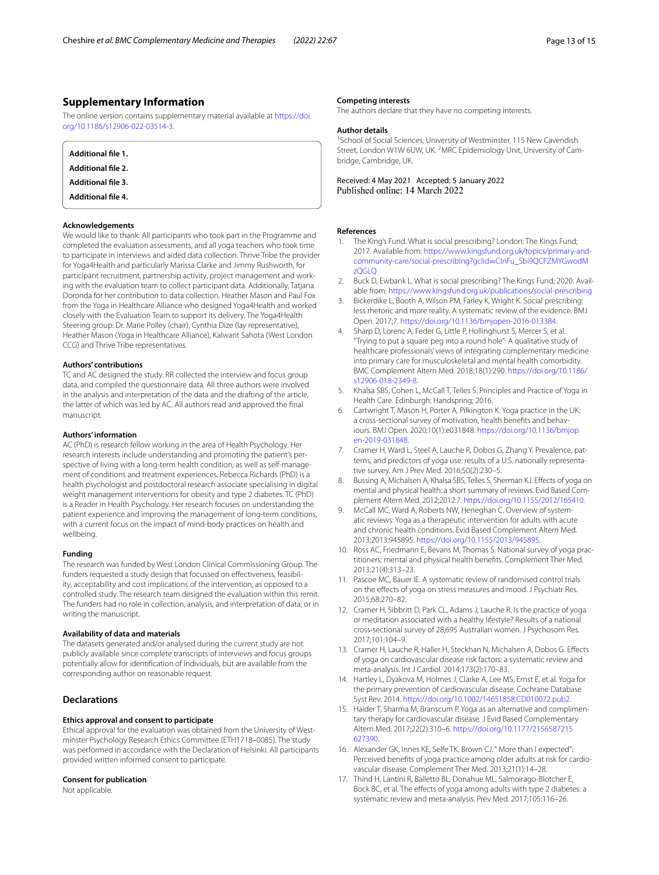# **Supplementary Information**

The online version contains supplementary material available at [https://doi.](https://doi.org/10.1186/s12906-022-03514-3) [org/10.1186/s12906-022-03514-3](https://doi.org/10.1186/s12906-022-03514-3).

<span id="page-12-18"></span><span id="page-12-17"></span><span id="page-12-16"></span><span id="page-12-15"></span>

| Additional file 1.        |  |  |
|---------------------------|--|--|
| <b>Additional file 2.</b> |  |  |
| <b>Additional file 3.</b> |  |  |
| <b>Additional file 4.</b> |  |  |

#### **Acknowledgements**

We would like to thank: All participants who took part in the Programme and completed the evaluation assessments, and all yoga teachers who took time to participate in interviews and aided data collection. Thrive Tribe the provider for Yoga4Health and particularly Marissa Clarke and Jimmy Rushworth, for participant recruitment, partnership activity, project management and working with the evaluation team to collect participant data. Additionally, Tatjana Doronda for her contribution to data collection. Heather Mason and Paul Fox from the Yoga in Healthcare Alliance who designed Yoga4Health and worked closely with the Evaluation Team to support its delivery. The Yoga4Health Steering group: Dr. Marie Polley (chair), Cynthia Dize (lay representative), Heather Mason (Yoga in Healthcare Alliance), Kalwant Sahota (West London CCG) and Thrive Tribe representatives.

#### **Authors' contributions**

TC and AC designed the study. RR collected the interview and focus group data, and compiled the questionnaire data. All three authors were involved in the analysis and interpretation of the data and the drafting of the article, the latter of which was led by AC. All authors read and approved the fnal manuscript.

#### **Authors' information**

AC (PhD) is research fellow working in the area of Health Psychology. Her research interests include understanding and promoting the patient's perspective of living with a long-term health condition, as well as self-management of conditions and treatment experiences. Rebecca Richards (PhD) is a health psychologist and postdoctoral research associate specialising in digital weight management interventions for obesity and type 2 diabetes. TC (PhD) is a Reader in Health Psychology. Her research focuses on understanding the patient experience and improving the management of long-term conditions, with a current focus on the impact of mind-body practices on health and wellbeing.

#### **Funding**

The research was funded by West London Clinical Commissioning Group. The funders requested a study design that focussed on efectiveness, feasibility, acceptability and cost implications of the intervention, as opposed to a controlled study. The research team designed the evaluation within this remit. The funders had no role in collection, analysis, and interpretation of data; or in writing the manuscript.

#### **Availability of data and materials**

The datasets generated and/or analysed during the current study are not publicly available since complete transcripts of interviews and focus groups potentially allow for identifcation of individuals, but are available from the corresponding author on reasonable request.

# **Declarations**

#### **Ethics approval and consent to participate**

Ethical approval for the evaluation was obtained from the University of Westminster Psychology Research Ethics Committee (ETH1718–0085). The study was performed in accordance with the Declaration of Helsinki. All participants provided written informed consent to participate.

#### **Consent for publication**

Not applicable.

#### **Competing interests**

The authors declare that they have no competing interests.

#### **Author details**

<sup>1</sup> School of Social Sciences, University of Westminster, 115 New Cavendish Street, London W1W 6UW, UK. <sup>2</sup>MRC Epidemiology Unit, University of Cambridge, Cambridge, UK.

Received: 4 May 2021 Accepted: 5 January 2022<br>Published online: 14 March 2022

#### **References**

- <span id="page-12-0"></span>The King's Fund. What is social prescribing? London: The Kings Fund; 2017. Available from: [https://www.kingsfund.org.uk/topics/primary-and](https://www.kingsfund.org.uk/topics/primary-and-community-care/social-prescribing?gclid=CInFu_Sbi9QCFZMYGwodMzQGLQ)[community-care/social-prescribing?gclid](https://www.kingsfund.org.uk/topics/primary-and-community-care/social-prescribing?gclid=CInFu_Sbi9QCFZMYGwodMzQGLQ)=CInFu\_Sbi9QCFZMYGwodM [zQGLQ](https://www.kingsfund.org.uk/topics/primary-and-community-care/social-prescribing?gclid=CInFu_Sbi9QCFZMYGwodMzQGLQ)
- <span id="page-12-1"></span>2. Buck D, Ewbank L. What is social prescribing? The Kings Fund; 2020. Available from:<https://www.kingsfund.org.uk/publications/social-prescribing>
- <span id="page-12-2"></span>3. Bickerdike L, Booth A, Wilson PM, Farley K, Wright K. Social prescribing: less rhetoric and more reality. A systematic review of the evidence. BMJ Open. 2017;7. [https://doi.org/10.1136/bmjopen-2016-013384.](https://doi.org/10.1136/bmjopen-2016-013384)
- <span id="page-12-3"></span>4. Sharp D, Lorenc A, Feder G, Little P, Hollinghurst S, Mercer S, et al. "Trying to put a square peg into a round hole": A qualitative study of healthcare professionals' views of integrating complementary medicine into primary care for musculoskeletal and mental health comorbidity. BMC Complement Altern Med. 2018;18(1):290. [https://doi.org/10.1186/](https://doi.org/10.1186/s12906-018-2349-8) [s12906-018-2349-8.](https://doi.org/10.1186/s12906-018-2349-8)
- <span id="page-12-4"></span>5. Khalsa SBS, Cohen L, McCall T, Telles S. Principles and Practice of Yoga in Health Care. Edinburgh: Handspring; 2016.
- <span id="page-12-5"></span>6. Cartwright T, Mason H, Porter A, Pilkington K. Yoga practice in the UK: a cross-sectional survey of motivation, health benefts and behaviours. BMJ Open. 2020;10(1):e031848. [https://doi.org/10.1136/bmjop](https://doi.org/10.1136/bmjopen-2019-031848) [en-2019-031848](https://doi.org/10.1136/bmjopen-2019-031848).
- <span id="page-12-6"></span>7. Cramer H, Ward L, Steel A, Lauche R, Dobos G, Zhang Y. Prevalence, patterns, and predictors of yoga use: results of a U.S. nationally representative survey. Am J Prev Med. 2016;50(2):230–5.
- <span id="page-12-7"></span>8. Bussing A, Michalsen A, Khalsa SBS, Telles S, Sherman KJ. Effects of yoga on mental and physical health: a short summary of reviews. Evid Based Complement Altern Med. 2012;2012:7. [https://doi.org/10.1155/2012/165410.](https://doi.org/10.1155/2012/165410)
- 9. McCall MC, Ward A, Roberts NW, Heneghan C. Overview of systematic reviews: Yoga as a therapeutic intervention for adults with acute and chronic health conditions. Evid Based Complement Altern Med. 2013;2013:945895. [https://doi.org/10.1155/2013/945895.](https://doi.org/10.1155/2013/945895)
- <span id="page-12-19"></span>10. Ross AC, Friedmann E, Bevans M, Thomas S. National survey of yoga practitioners: mental and physical health benefts. Complement Ther Med. 2013;21(4):313–23.
- <span id="page-12-14"></span>11. Pascoe MC, Bauer IE. A systematic review of randomised control trials on the efects of yoga on stress measures and mood. J Psychiatr Res. 2015;68:270–82.
- <span id="page-12-8"></span>12. Cramer H, Sibbritt D, Park CL, Adams J, Lauche R. Is the practice of yoga or meditation associated with a healthy lifestyle? Results of a national cross-sectional survey of 28,695 Australian women. J Psychosom Res. 2017;101:104–9.
- <span id="page-12-9"></span>13. Cramer H, Lauche R, Haller H, Steckhan N, Michalsen A, Dobos G. Efects of yoga on cardiovascular disease risk factors: a systematic review and meta-analysis. Int J Cardiol. 2014;173(2):170–83.
- <span id="page-12-10"></span>14. Hartley L, Dyakova M, Holmes J, Clarke A, Lee MS, Ernst E, et al. Yoga for the primary prevention of cardiovascular disease. Cochrane Database Syst Rev. 2014.<https://doi.org/10.1002/14651858.CD010072.pub2>.
- <span id="page-12-11"></span>15. Haider T, Sharma M, Branscum P. Yoga as an alternative and complimentary therapy for cardiovascular disease. J Evid Based Complementary Altern Med. 2017;22(2):310–6. [https://doi.org/10.1177/2156587215](https://doi.org/10.1177/2156587215627390) [627390.](https://doi.org/10.1177/2156587215627390)
- <span id="page-12-12"></span>16. Alexander GK, Innes KE, Selfe TK, Brown CJ. " More than I expected": Perceived benefts of yoga practice among older adults at risk for cardiovascular disease. Complement Ther Med. 2013;21(1):14–28.
- <span id="page-12-13"></span>17. Thind H, Lantini R, Balletto BL, Donahue ML, Salmoirago-Blotcher E, Bock BC, et al. The effects of yoga among adults with type 2 diabetes: a systematic review and meta-analysis. Prev Med. 2017;105:116–26.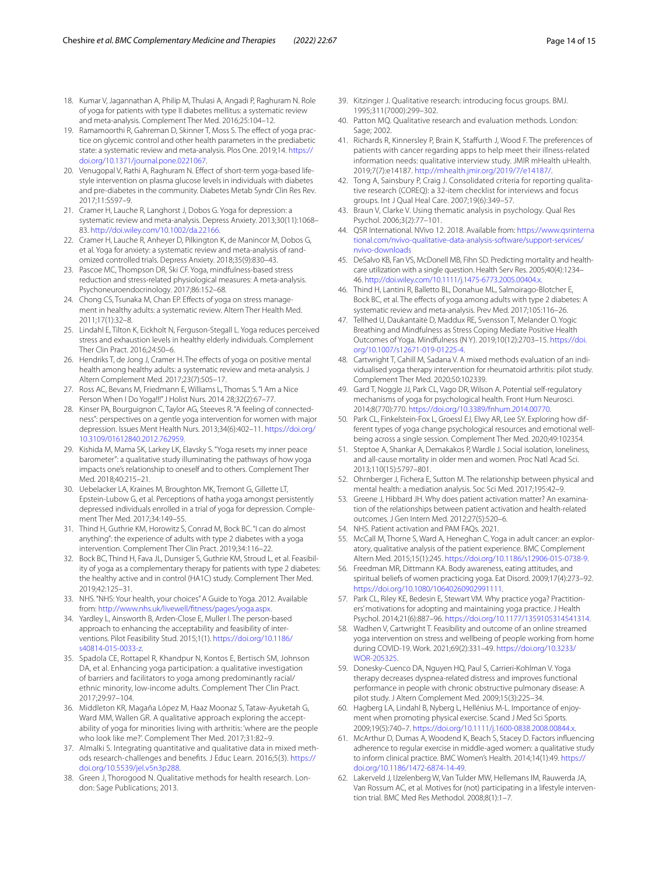- <span id="page-13-0"></span>18. Kumar V, Jagannathan A, Philip M, Thulasi A, Angadi P, Raghuram N. Role of yoga for patients with type II diabetes mellitus: a systematic review and meta-analysis. Complement Ther Med. 2016;25:104–12.
- <span id="page-13-1"></span>19. Ramamoorthi R, Gahreman D, Skinner T, Moss S. The effect of yoga practice on glycemic control and other health parameters in the prediabetic state: a systematic review and meta-analysis. Plos One. 2019;14. [https://](https://doi.org/10.1371/journal.pone.0221067) [doi.org/10.1371/journal.pone.0221067](https://doi.org/10.1371/journal.pone.0221067).
- <span id="page-13-2"></span>20. Venugopal V, Rathi A, Raghuram N. Effect of short-term yoga-based lifestyle intervention on plasma glucose levels in individuals with diabetes and pre-diabetes in the community. Diabetes Metab Syndr Clin Res Rev. 2017;11:S597–9.
- <span id="page-13-3"></span>21. Cramer H, Lauche R, Langhorst J, Dobos G. Yoga for depression: a systematic review and meta-analysis. Depress Anxiety. 2013;30(11):1068– 83. [http://doi.wiley.com/10.1002/da.22166.](http://dx.doi.org/10.1002/da.22166)
- <span id="page-13-4"></span>22. Cramer H, Lauche R, Anheyer D, Pilkington K, de Manincor M, Dobos G, et al. Yoga for anxiety: a systematic review and meta-analysis of randomized controlled trials. Depress Anxiety. 2018;35(9):830–43.
- <span id="page-13-5"></span>23. Pascoe MC, Thompson DR, Ski CF. Yoga, mindfulness-based stress reduction and stress-related physiological measures: A meta-analysis. Psychoneuroendocrinology. 2017;86:152–68.
- <span id="page-13-6"></span>24. Chong CS, Tsunaka M, Chan EP. Efects of yoga on stress management in healthy adults: a systematic review. Altern Ther Health Med. 2011;17(1):32–8.
- <span id="page-13-7"></span>25. Lindahl E, Tilton K, Eickholt N, Ferguson-Stegall L. Yoga reduces perceived stress and exhaustion levels in healthy elderly individuals. Complement Ther Clin Pract. 2016;24:50–6.
- <span id="page-13-8"></span>26. Hendriks T, de Jong J, Cramer H. The efects of yoga on positive mental health among healthy adults: a systematic review and meta-analysis. J Altern Complement Med. 2017;23(7):505–17.
- <span id="page-13-9"></span>27. Ross AC, Bevans M, Friedmann E, Williams L, Thomas S. "I Am a Nice Person When I Do Yoga!!!" J Holist Nurs. 2014 28;32(2):67–77.
- <span id="page-13-10"></span>28. Kinser PA, Bourguignon C, Taylor AG, Steeves R. "A feeling of connectedness": perspectives on a gentle yoga intervention for women with major depression. Issues Ment Health Nurs. 2013;34(6):402–11. [https://doi.org/](https://doi.org/10.3109/01612840.2012.762959) [10.3109/01612840.2012.762959](https://doi.org/10.3109/01612840.2012.762959).
- <span id="page-13-11"></span>29. Kishida M, Mama SK, Larkey LK, Elavsky S. "Yoga resets my inner peace barometer": a qualitative study illuminating the pathways of how yoga impacts one's relationship to oneself and to others. Complement Ther Med. 2018;40:215–21.
- <span id="page-13-12"></span>30. Uebelacker LA, Kraines M, Broughton MK, Tremont G, Gillette LT, Epstein-Lubow G, et al. Perceptions of hatha yoga amongst persistently depressed individuals enrolled in a trial of yoga for depression. Complement Ther Med. 2017;34:149–55.
- <span id="page-13-13"></span>31. Thind H, Guthrie KM, Horowitz S, Conrad M, Bock BC. "I can do almost anything": the experience of adults with type 2 diabetes with a yoga intervention. Complement Ther Clin Pract. 2019;34:116–22.
- <span id="page-13-14"></span>32. Bock BC, Thind H, Fava JL, Dunsiger S, Guthrie KM, Stroud L, et al. Feasibility of yoga as a complementary therapy for patients with type 2 diabetes: the healthy active and in control (HA1C) study. Complement Ther Med. 2019;42:125–31.
- <span id="page-13-15"></span>33. NHS. "NHS: Your health, your choices" A Guide to Yoga. 2012. Available from: [http://www.nhs.uk/livewell/ftness/pages/yoga.aspx.](http://www.nhs.uk/livewell/fitness/pages/yoga.aspx)
- <span id="page-13-16"></span>34. Yardley L, Ainsworth B, Arden-Close E, Muller I. The person-based approach to enhancing the acceptability and feasibility of interventions. Pilot Feasibility Stud. 2015;1(1). [https://doi.org/10.1186/](https://doi.org/10.1186/s40814-015-0033-z) [s40814-015-0033-z](https://doi.org/10.1186/s40814-015-0033-z).
- <span id="page-13-17"></span>35. Spadola CE, Rottapel R, Khandpur N, Kontos E, Bertisch SM, Johnson DA, et al. Enhancing yoga participation: a qualitative investigation of barriers and facilitators to yoga among predominantly racial/ ethnic minority, low-income adults. Complement Ther Clin Pract. 2017;29:97–104.
- <span id="page-13-18"></span>36. Middleton KR, Magaña López M, Haaz Moonaz S, Tataw-Ayuketah G, Ward MM, Wallen GR. A qualitative approach exploring the acceptability of yoga for minorities living with arthritis: 'where are the people who look like me?'. Complement Ther Med. 2017;31:82–9.
- <span id="page-13-19"></span>37. Almalki S. Integrating quantitative and qualitative data in mixed methods research-challenges and benefts. J Educ Learn. 2016;5(3). [https://](https://doi.org/10.5539/jel.v5n3p288) [doi.org/10.5539/jel.v5n3p288](https://doi.org/10.5539/jel.v5n3p288).
- <span id="page-13-20"></span>38. Green J, Thorogood N. Qualitative methods for health research. London: Sage Publications; 2013.
- <span id="page-13-21"></span>39. Kitzinger J. Qualitative research: introducing focus groups. BMJ. 1995;311(7000):299–302.
- <span id="page-13-22"></span>40. Patton MQ. Qualitative research and evaluation methods. London: Sage: 2002.
- <span id="page-13-23"></span>41. Richards R, Kinnersley P, Brain K, Stafurth J, Wood F. The preferences of patients with cancer regarding apps to help meet their illness-related information needs: qualitative interview study. JMIR mHealth uHealth. 2019;7(7):e14187. <http://mhealth.jmir.org/2019/7/e14187/>.
- <span id="page-13-24"></span>42. Tong A, Sainsbury P, Craig J. Consolidated criteria for reporting qualitative research (COREQ): a 32-item checklist for interviews and focus groups. Int J Qual Heal Care. 2007;19(6):349–57.
- <span id="page-13-25"></span>43. Braun V, Clarke V. Using thematic analysis in psychology. Qual Res Psychol. 2006;3(2):77–101.
- <span id="page-13-26"></span>44. QSR International. NVivo 12. 2018. Available from: [https://www.qsrinterna](https://www.qsrinternational.com/nvivo-qualitative-data-analysis-software/support-services/nvivo-downloads) [tional.com/nvivo-qualitative-data-analysis-software/support-services/](https://www.qsrinternational.com/nvivo-qualitative-data-analysis-software/support-services/nvivo-downloads) [nvivo-downloads](https://www.qsrinternational.com/nvivo-qualitative-data-analysis-software/support-services/nvivo-downloads)
- <span id="page-13-27"></span>45. DeSalvo KB, Fan VS, McDonell MB, Fihn SD. Predicting mortality and healthcare utilization with a single question. Health Serv Res. 2005;40(4):1234– 46. <http://doi.wiley.com/10.1111/j.1475-6773.2005.00404.x>.
- <span id="page-13-28"></span>46. Thind H, Lantini R, Balletto BL, Donahue ML, Salmoirago-Blotcher E, Bock BC, et al. The effects of yoga among adults with type 2 diabetes: A systematic review and meta-analysis. Prev Med. 2017;105:116–26.
- <span id="page-13-29"></span>47. Tellhed U, Daukantaitė D, Maddux RE, Svensson T, Melander O. Yogic Breathing and Mindfulness as Stress Coping Mediate Positive Health Outcomes of Yoga. Mindfulness (N Y). 2019;10(12):2703–15. [https://doi.](https://doi.org/10.1007/s12671-019-01225-4) [org/10.1007/s12671-019-01225-4](https://doi.org/10.1007/s12671-019-01225-4).
- <span id="page-13-31"></span>48. Cartwright T, Cahill M, Sadana V. A mixed methods evaluation of an individualised yoga therapy intervention for rheumatoid arthritis: pilot study. Complement Ther Med. 2020;50:102339.
- <span id="page-13-30"></span>49. Gard T, Noggle JJ, Park CL, Vago DR, Wilson A. Potential self-regulatory mechanisms of yoga for psychological health. Front Hum Neurosci. 2014;8(770):770. <https://doi.org/10.3389/fnhum.2014.00770>.
- <span id="page-13-32"></span>50. Park CL, Finkelstein-Fox L, Groessl EJ, Elwy AR, Lee SY. Exploring how different types of yoga change psychological resources and emotional wellbeing across a single session. Complement Ther Med. 2020;49:102354.
- <span id="page-13-33"></span>51. Steptoe A, Shankar A, Demakakos P, Wardle J. Social isolation, loneliness, and all-cause mortality in older men and women. Proc Natl Acad Sci. 2013;110(15):5797–801.
- <span id="page-13-34"></span>52. Ohrnberger J, Fichera E, Sutton M. The relationship between physical and mental health: a mediation analysis. Soc Sci Med. 2017;195:42–9.
- <span id="page-13-35"></span>53. Greene J, Hibbard JH. Why does patient activation matter? An examination of the relationships between patient activation and health-related outcomes. J Gen Intern Med. 2012;27(5):520–6.
- <span id="page-13-36"></span>54. NHS. Patient activation and PAM FAQs. 2021.
- <span id="page-13-37"></span>55. McCall M, Thorne S, Ward A, Heneghan C. Yoga in adult cancer: an exploratory, qualitative analysis of the patient experience. BMC Complement Altern Med. 2015;15(1):245.<https://doi.org/10.1186/s12906-015-0738-9>.
- <span id="page-13-38"></span>56. Freedman MR, Dittmann KA. Body awareness, eating attitudes, and spiritual beliefs of women practicing yoga. Eat Disord. 2009;17(4):273–92. [https://doi.org/10.1080/10640260902991111.](https://doi.org/10.1080/10640260902991111)
- <span id="page-13-39"></span>57. Park CL, Riley KE, Bedesin E, Stewart VM. Why practice yoga? Practitioners' motivations for adopting and maintaining yoga practice. J Health Psychol. 2014;21(6):887–96. [https://doi.org/10.1177/1359105314541314.](https://doi.org/10.1177/1359105314541314)
- <span id="page-13-40"></span>58. Wadhen V, Cartwright T. Feasibility and outcome of an online streamed yoga intervention on stress and wellbeing of people working from home during COVID-19. Work. 2021;69(2):331–49. [https://doi.org/10.3233/](https://doi.org/10.3233/WOR-205325) [WOR-205325.](https://doi.org/10.3233/WOR-205325)
- <span id="page-13-41"></span>59. Donesky-Cuenco DA, Nguyen HQ, Paul S, Carrieri-Kohlman V. Yoga therapy decreases dyspnea-related distress and improves functional performance in people with chronic obstructive pulmonary disease: A pilot study. J Altern Complement Med. 2009;15(3):225–34.
- <span id="page-13-42"></span>60. Hagberg LA, Lindahl B, Nyberg L, Hellénius M-L. Importance of enjoyment when promoting physical exercise. Scand J Med Sci Sports. 2009;19(5):740–7. [https://doi.org/10.1111/j.1600-0838.2008.00844.x.](https://doi.org/10.1111/j.1600-0838.2008.00844.x)
- <span id="page-13-43"></span>61. McArthur D, Dumas A, Woodend K, Beach S, Stacey D. Factors infuencing adherence to regular exercise in middle-aged women: a qualitative study to inform clinical practice. BMC Women's Health. 2014;14(1):49. [https://](https://doi.org/10.1186/1472-6874-14-49) [doi.org/10.1186/1472-6874-14-49](https://doi.org/10.1186/1472-6874-14-49).
- <span id="page-13-44"></span>62. Lakerveld J, IJzelenberg W, Van Tulder MW, Hellemans IM, Rauwerda JA, Van Rossum AC, et al. Motives for (not) participating in a lifestyle intervention trial. BMC Med Res Methodol. 2008;8(1):1–7.